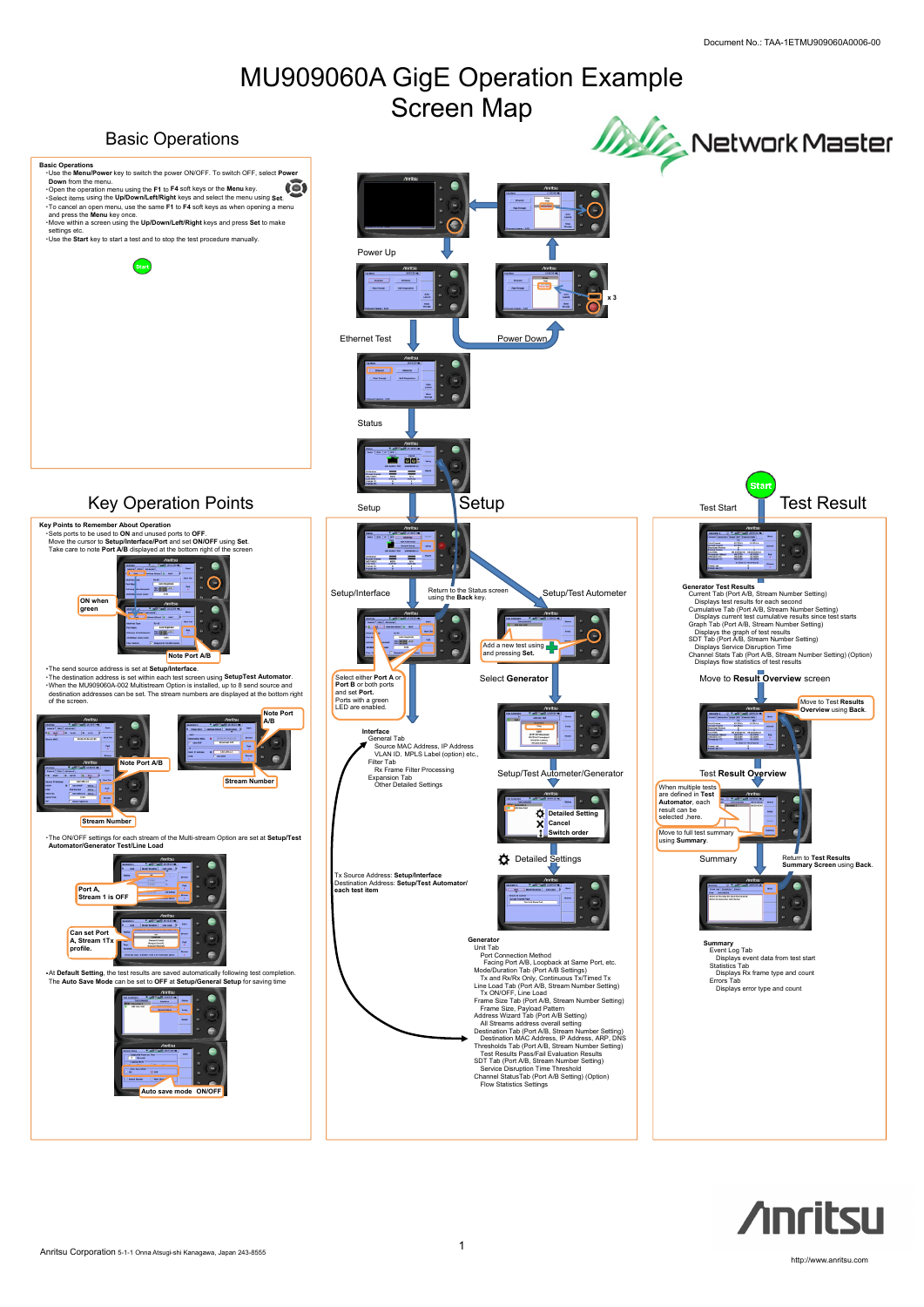1

# **Anritsu**

Anritsu Corporation 5-1-1 Onna Atsugi-shi Kanagawa, Japan 243-8555

http://www.anritsu.com

# MU909060A GigE Operation Example Screen Map